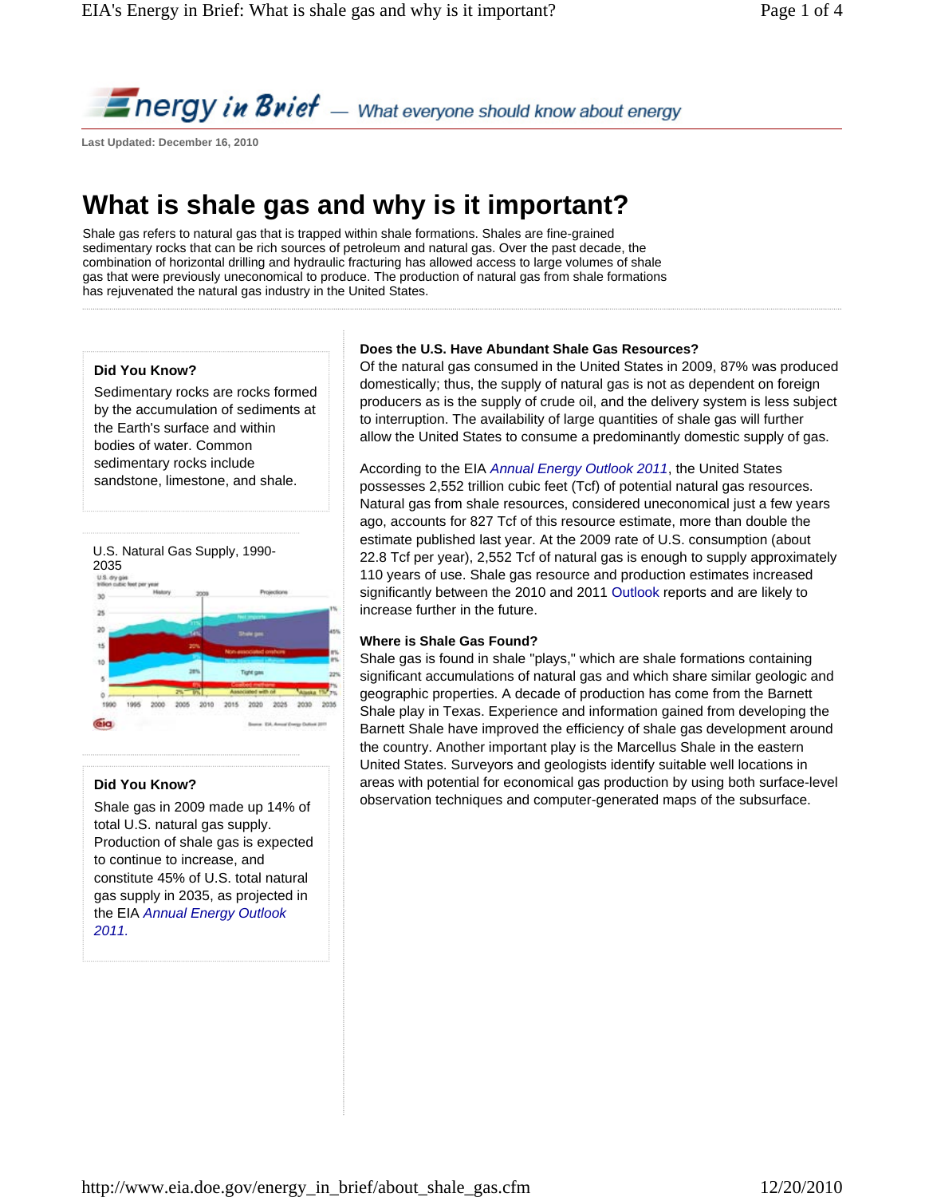**Energy in Brief** — What everyone should know about energy

**Last Updated: December 16, 2010** 

# **What is shale gas and why is it important?**

Shale gas refers to natural gas that is trapped within shale formations. Shales are fine-grained sedimentary rocks that can be rich sources of petroleum and natural gas. Over the past decade, the combination of horizontal drilling and hydraulic fracturing has allowed access to large volumes of shale gas that were previously uneconomical to produce. The production of natural gas from shale formations has rejuvenated the natural gas industry in the United States.

# **Did You Know?**

Sedimentary rocks are rocks formed by the accumulation of sediments at the Earth's surface and within bodies of water. Common sedimentary rocks include sandstone, limestone, and shale.



## **Did You Know?**

Shale gas in 2009 made up 14% of total U.S. natural gas supply. Production of shale gas is expected to continue to increase, and constitute 45% of U.S. total natural gas supply in 2035, as projected in the EIA *Annual Energy Outlook 2011.*

## **Does the U.S. Have Abundant Shale Gas Resources?**

Of the natural gas consumed in the United States in 2009, 87% was produced domestically; thus, the supply of natural gas is not as dependent on foreign producers as is the supply of crude oil, and the delivery system is less subject to interruption. The availability of large quantities of shale gas will further allow the United States to consume a predominantly domestic supply of gas.

According to the EIA *Annual Energy Outlook 2011*, the United States possesses 2,552 trillion cubic feet (Tcf) of potential natural gas resources. Natural gas from shale resources, considered uneconomical just a few years ago, accounts for 827 Tcf of this resource estimate, more than double the estimate published last year. At the 2009 rate of U.S. consumption (about 22.8 Tcf per year), 2,552 Tcf of natural gas is enough to supply approximately 110 years of use. Shale gas resource and production estimates increased significantly between the 2010 and 2011 Outlook reports and are likely to increase further in the future.

## **Where is Shale Gas Found?**

Shale gas is found in shale "plays," which are shale formations containing significant accumulations of natural gas and which share similar geologic and geographic properties. A decade of production has come from the Barnett Shale play in Texas. Experience and information gained from developing the Barnett Shale have improved the efficiency of shale gas development around the country. Another important play is the Marcellus Shale in the eastern United States. Surveyors and geologists identify suitable well locations in areas with potential for economical gas production by using both surface-level observation techniques and computer-generated maps of the subsurface.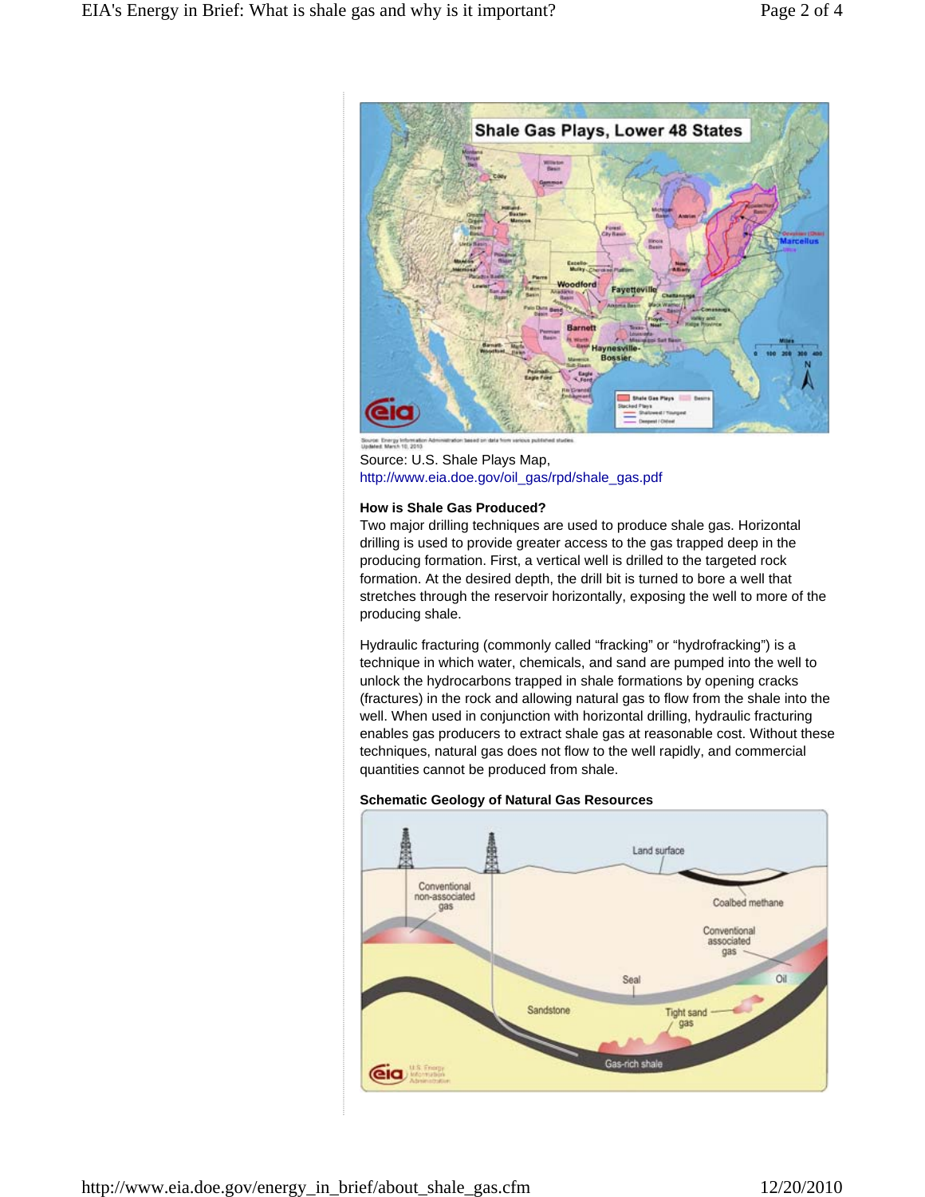

Source: U.S. Shale Plays Map, http://www.eia.doe.gov/oil\_gas/rpd/shale\_gas.pdf

#### **How is Shale Gas Produced?**

Two major drilling techniques are used to produce shale gas. Horizontal drilling is used to provide greater access to the gas trapped deep in the producing formation. First, a vertical well is drilled to the targeted rock formation. At the desired depth, the drill bit is turned to bore a well that stretches through the reservoir horizontally, exposing the well to more of the producing shale.

Hydraulic fracturing (commonly called "fracking" or "hydrofracking") is a technique in which water, chemicals, and sand are pumped into the well to unlock the hydrocarbons trapped in shale formations by opening cracks (fractures) in the rock and allowing natural gas to flow from the shale into the well. When used in conjunction with horizontal drilling, hydraulic fracturing enables gas producers to extract shale gas at reasonable cost. Without these techniques, natural gas does not flow to the well rapidly, and commercial quantities cannot be produced from shale.



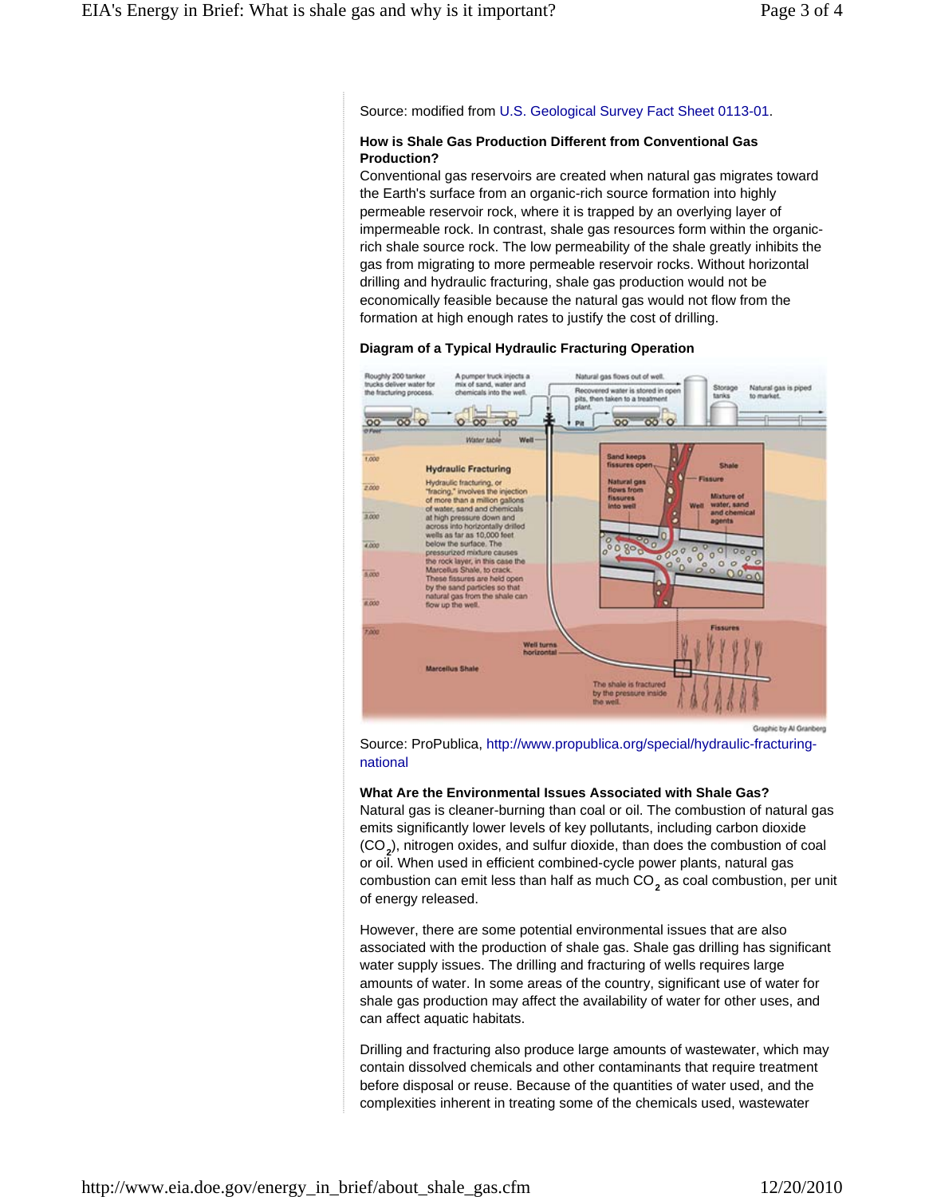Source: modified from U.S. Geological Survey Fact Sheet 0113-01.

#### **How is Shale Gas Production Different from Conventional Gas Production?**

Conventional gas reservoirs are created when natural gas migrates toward the Earth's surface from an organic-rich source formation into highly permeable reservoir rock, where it is trapped by an overlying layer of impermeable rock. In contrast, shale gas resources form within the organicrich shale source rock. The low permeability of the shale greatly inhibits the gas from migrating to more permeable reservoir rocks. Without horizontal drilling and hydraulic fracturing, shale gas production would not be economically feasible because the natural gas would not flow from the formation at high enough rates to justify the cost of drilling.

#### **Diagram of a Typical Hydraulic Fracturing Operation**



Graphic by Al Granberg

Source: ProPublica, http://www.propublica.org/special/hydraulic-fracturingnational

#### **What Are the Environmental Issues Associated with Shale Gas?**

Natural gas is cleaner-burning than coal or oil. The combustion of natural gas emits significantly lower levels of key pollutants, including carbon dioxide (CO<sub>2</sub>), nitrogen oxides, and sulfur dioxide, than does the combustion of coal or oil. When used in efficient combined-cycle power plants, natural gas combustion can emit less than half as much  $\mathrm{CO}_2^{}$  as coal combustion, per unit of energy released.

However, there are some potential environmental issues that are also associated with the production of shale gas. Shale gas drilling has significant water supply issues. The drilling and fracturing of wells requires large amounts of water. In some areas of the country, significant use of water for shale gas production may affect the availability of water for other uses, and can affect aquatic habitats.

Drilling and fracturing also produce large amounts of wastewater, which may contain dissolved chemicals and other contaminants that require treatment before disposal or reuse. Because of the quantities of water used, and the complexities inherent in treating some of the chemicals used, wastewater